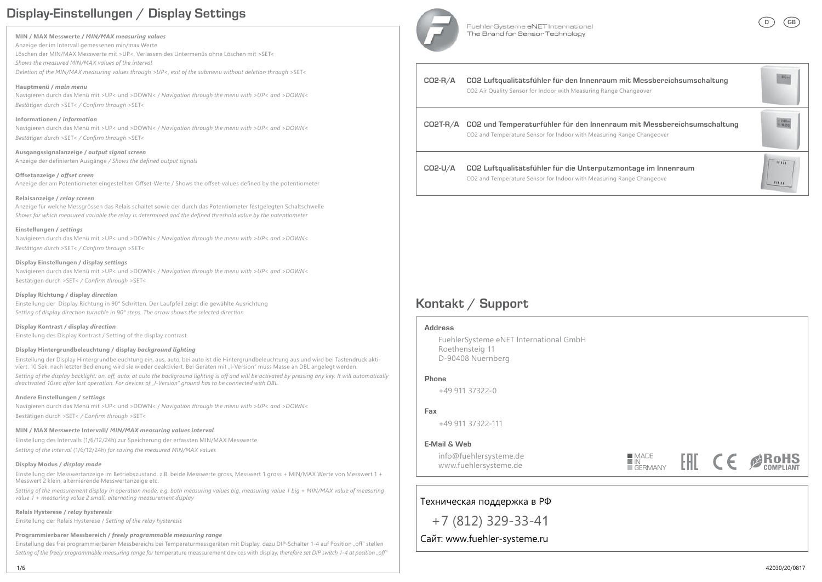# **Display-Einstellungen / Display Settings**

#### **MIN / MAX Messwerte /** *MIN/MAX measuring values*

Anzeige der im Intervall gemessenen min/max Werte Löschen der MIN/MAX Messwerte mit >UP<, Verlassen des Untermenüs ohne Löschen mit >SET< *Shows the measured MIN/MAX values of the interval* 

*Deletion of the MIN/MAX measuring values through >UP<, exit of the submenu without deletion through* >SET<

**Hauptmenü /** *main menu* Navigieren durch das Menü mit >UP< und >DOWN< / *Navigation through the menu with >UP< and >DOWN< Bestätigen durch* >SET< *-* >SET<

**Informationen /** *information* Navigieren durch das Menü mit >UP< und >DOWN< / *Navigation through the menu with >UP< and >DOWN< Bestätigen durch* >SET< *-* >SET<

**Ausgangssignalanzeige /** *output signal screen* Anzeige der definierten Ausgänge / Shows the defined output signals

Offsetanzeige / offset creen Anzeige der am Potentiometer eingestellten Offset-Werte / Shows the offset-values defined by the potentiometer

#### **Relaisanzeige /** *relay screen*

Anzeige für welche Messgrössen das Relais schaltet sowie der durch das Potentiometer festgelegten Schaltschwelle *Shows for which measured variable the relay is determined and the defined threshold value by the potentiometer* 

#### **Einstellungen /** *settings*

Navigieren durch das Menü mit >UP< und >DOWN< / *Navigation through the menu with >UP< and >DOWN< Bestätigen durch* >SET< *-* >SET<

#### **Display Einstellungen / display** *settings*

Navigieren durch das Menü mit >UP< und >DOWN< / *Navigation through the menu with >UP< and >DOWN<* Bestätigen durch >SET< / Confirm through >SET<

**Display Richtung / display** *direction* Einstellung der Display Richtung in 90° Schritten. Der Laufpfeil zeigt die gewählte Ausrichtung *Setting of display direction turnable in 90° steps. The arrow shows the selected direction*

**Display Kontrast / display** *direction* Einstellung des Display Kontrast / Setting of the display contrast

#### **Display Hintergrundbeleuchtung / display** *background lighting*

Einstellung der Display Hintergrundbeleuchtung ein, aus, auto; bei auto ist die Hintergrundbeleuchtung aus und wird bei Tastendruck aktiviert. 10 Sek. nach letzter Bedienung wird sie wieder deaktiviert. Bei Geräten mit "I-Version" muss Masse an DBL angelegt werden.

*Setting of the display backlight: on, off, auto; at auto the background lighting is off and will be activated by pressing any key. It will automatically deactivated 10sec after last operation. For devices of "I-Version" ground has to be connected with DBL.* 

#### **Andere Einstellungen /** *settings*

Navigieren durch das Menü mit >UP< und >DOWN< / *Navigation through the menu with >UP< and >DOWN<* Bestätigen durch >SET< / Confirm through >SET<

### **MIN / MAX Messwerte Intervall/** *MIN/MAX measuring values interval*

Einstellung des Intervalls (1/6/12/24h) zur Speicherung der erfassten MIN/MAX Messwerte

*Setting of the interval* (1/6/12/24h) *for saving the measured MIN/MAX values*

### **Display Modus /** *display mode*

Einstellung der Messwertanzeige im Betriebszustand, z.B. beide Messwerte gross, Messwert 1 gross + MIN/MAX Werte von Messwert 1 + Messwert 2 klein, alternierende Messwertanzeige etc.

*Setting of the measurement display in operation mode, e.g. both measuring values big, measuring value 1 big + MIN/MAX value of measuring value 1 + measuring value 2 small, alternating measurement display*

**Relais Hysterese /** *relay hysteresis* Einstellung der Relais Hysterese / *Setting of the relay hysteresis*

**Programmierbarer Messbereich /** *freely programmable measuring range*

Einstellung des frei programmierbaren Messbereichs bei Temperaturmessgeräten mit Display, dazu DIP-Schalter 1-4 auf Position "off" stellen Setting of the freely programmable measuring range for temperature meassurement devices with display, therefore set DIP switch 1-4 at position "off"



**CO2-R/A**

**CO2T-R/A**

**CO2-U/A**

FuehlerSysteme eNET International The Brand for Sensor Technology



**DGB**

# **Kontakt / Support**

#### **Address**

 FuehlerSysteme eNET International GmbH Roethensteig 11 D-90408 Nuernberg

### **Phone**

 $+4991137322 - 0$ 

### **Fax**

+49 911 37322-111

### **E-Mail & Web**

 info@fuehlersysteme.de www.fuehlersysteme.de

■ MADE<br>■ IN<br>■ GERMANY FHI  $C \in \mathscr{B}$  RoHS



+7 (812) 329-33-41Техническая поддержка в РФ<br>+7 (812) 329-33-41<br>Сайт: www.fuehler-systeme.ru

Сайт: www.fuehler-systeme.ru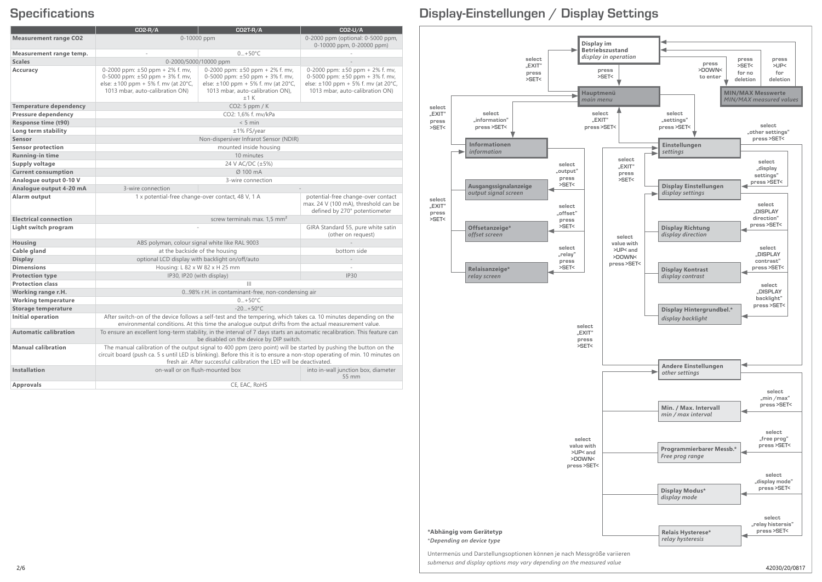|                               | CO2-R/A                                                                                                                                                                                                                                                                                                                | <b>CO2T-R/A</b>                                                                                                                                                   | CO2-U/A                                                                                                                                                |
|-------------------------------|------------------------------------------------------------------------------------------------------------------------------------------------------------------------------------------------------------------------------------------------------------------------------------------------------------------------|-------------------------------------------------------------------------------------------------------------------------------------------------------------------|--------------------------------------------------------------------------------------------------------------------------------------------------------|
| <b>Measurement range CO2</b>  | 0-10000 ppm                                                                                                                                                                                                                                                                                                            |                                                                                                                                                                   | 0-2000 ppm (optional: 0-5000 ppm,                                                                                                                      |
|                               |                                                                                                                                                                                                                                                                                                                        |                                                                                                                                                                   | 0-10000 ppm, 0-20000 ppm)                                                                                                                              |
| Measurement range temp.       |                                                                                                                                                                                                                                                                                                                        | $0+50°C$                                                                                                                                                          |                                                                                                                                                        |
| <b>Scales</b>                 | 0-2000/5000/10000 ppm                                                                                                                                                                                                                                                                                                  |                                                                                                                                                                   |                                                                                                                                                        |
| Accuracy                      | 0-2000 ppm: $\pm 50$ ppm + 2% f. mv,<br>0-5000 ppm: $\pm 50$ ppm + 3% f. mv,<br>else: ±100 ppm + 5% f. mv (at 20°C,<br>1013 mbar, auto-calibration ON)                                                                                                                                                                 | 0-2000 ppm: $\pm 50$ ppm + 2% f. mv,<br>0-5000 ppm: $\pm 50$ ppm + 3% f. mv,<br>else: ±100 ppm + 5% f. mv (at 20°C,<br>1013 mbar, auto-calibration ON),<br>$+1$ K | 0-2000 ppm: $\pm 50$ ppm + 2% f. mv,<br>0-5000 ppm: $\pm 50$ ppm + 3% f. mv,<br>else: ±100 ppm + 5% f. mv (at 20°C,<br>1013 mbar, auto-calibration ON) |
| <b>Temperature dependency</b> | CO2: 5 ppm / K                                                                                                                                                                                                                                                                                                         |                                                                                                                                                                   |                                                                                                                                                        |
| Pressure dependency           | CO2: 1,6% f. mv/kPa                                                                                                                                                                                                                                                                                                    |                                                                                                                                                                   |                                                                                                                                                        |
| Response time (t90)           | $< 5$ min                                                                                                                                                                                                                                                                                                              |                                                                                                                                                                   |                                                                                                                                                        |
| Long term stability           | ±1% FS/year                                                                                                                                                                                                                                                                                                            |                                                                                                                                                                   |                                                                                                                                                        |
| Sensor                        | Non-dispersiver Infrarot Sensor (NDIR)                                                                                                                                                                                                                                                                                 |                                                                                                                                                                   |                                                                                                                                                        |
| <b>Sensor protection</b>      | mounted inside housing                                                                                                                                                                                                                                                                                                 |                                                                                                                                                                   |                                                                                                                                                        |
| Running-in time               | 10 minutes                                                                                                                                                                                                                                                                                                             |                                                                                                                                                                   |                                                                                                                                                        |
| Supply voltage                | 24 V AC/DC (±5%)                                                                                                                                                                                                                                                                                                       |                                                                                                                                                                   |                                                                                                                                                        |
| <b>Current consumption</b>    | Ø 100 mA                                                                                                                                                                                                                                                                                                               |                                                                                                                                                                   |                                                                                                                                                        |
| Analogue output 0-10 V        |                                                                                                                                                                                                                                                                                                                        | 3-wire connection                                                                                                                                                 |                                                                                                                                                        |
| Analogue output 4-20 mA       | 3-wire connection                                                                                                                                                                                                                                                                                                      |                                                                                                                                                                   |                                                                                                                                                        |
| Alarm output                  | 1 x potential-free change-over contact, 48 V, 1 A                                                                                                                                                                                                                                                                      |                                                                                                                                                                   | potential-free change-over contact<br>max. 24 V (100 mA), threshold can be<br>defined by 270° potentiometer                                            |
| <b>Electrical connection</b>  | screw terminals max. 1,5 mm <sup>2</sup>                                                                                                                                                                                                                                                                               |                                                                                                                                                                   |                                                                                                                                                        |
| Light switch program          |                                                                                                                                                                                                                                                                                                                        |                                                                                                                                                                   | GIRA Standard 55, pure white satin<br>(other on request)                                                                                               |
| Housing                       | ABS polyman, colour signal white like RAL 9003                                                                                                                                                                                                                                                                         |                                                                                                                                                                   |                                                                                                                                                        |
| Cable gland                   | at the backside of the housing                                                                                                                                                                                                                                                                                         |                                                                                                                                                                   | bottom side                                                                                                                                            |
| <b>Display</b>                | optional LCD display with backlight on/off/auto                                                                                                                                                                                                                                                                        |                                                                                                                                                                   |                                                                                                                                                        |
| <b>Dimensions</b>             | Housing: L 82 x W 82 x H 25 mm                                                                                                                                                                                                                                                                                         |                                                                                                                                                                   |                                                                                                                                                        |
| <b>Protection type</b>        | IP30<br>IP30, IP20 (with display)                                                                                                                                                                                                                                                                                      |                                                                                                                                                                   |                                                                                                                                                        |
| <b>Protection class</b>       | $\mathbf{III}$                                                                                                                                                                                                                                                                                                         |                                                                                                                                                                   |                                                                                                                                                        |
| Working range r.H.            | 098% r.H. in contaminant-free, non-condensing air                                                                                                                                                                                                                                                                      |                                                                                                                                                                   |                                                                                                                                                        |
| <b>Working temperature</b>    | $0+50^{\circ}$ C                                                                                                                                                                                                                                                                                                       |                                                                                                                                                                   |                                                                                                                                                        |
| <b>Storage temperature</b>    | $-20+50°C$                                                                                                                                                                                                                                                                                                             |                                                                                                                                                                   |                                                                                                                                                        |
| Initial operation             | After switch-on of the device follows a self-test and the tempering, which takes ca. 10 minutes depending on the<br>environmental conditions. At this time the analogue output drifts from the actual measurement value.                                                                                               |                                                                                                                                                                   |                                                                                                                                                        |
| <b>Automatic calibration</b>  | To ensure an excellent long-term stability, in the interval of 7 days starts an automatic recalibration. This feature can<br>be disabled on the device by DIP switch.                                                                                                                                                  |                                                                                                                                                                   |                                                                                                                                                        |
| <b>Manual calibration</b>     | The manual calibration of the output signal to 400 ppm (zero point) will be started by pushing the button on the<br>circuit board (push ca. 5 s until LED is blinking). Before this it is to ensure a non-stop operating of min. 10 minutes on<br>fresh air. After successful calibration the LED will be deactivated. |                                                                                                                                                                   |                                                                                                                                                        |
| Installation                  |                                                                                                                                                                                                                                                                                                                        | on-wall or on flush-mounted box                                                                                                                                   | into in-wall junction box, diameter<br>55 mm                                                                                                           |
| Approvals                     | CE. EAC. RoHS                                                                                                                                                                                                                                                                                                          |                                                                                                                                                                   |                                                                                                                                                        |

# **Specifications Display-Einstellungen / Display Settings**

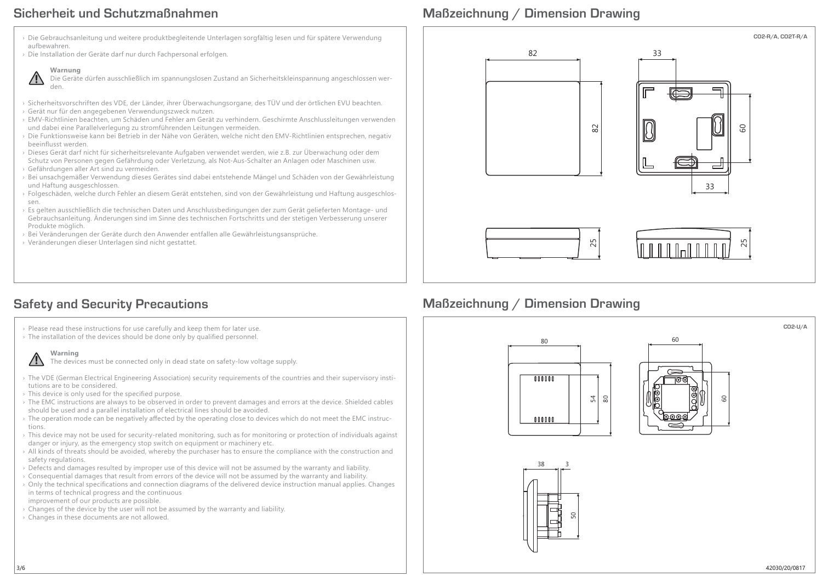## **Sicherheit und Schutzmaßnahmen**

# **Maßzeichnung / Dimension Drawing**



# **Safety and Security Precautions**

- › Please read these instructions for use carefully and keep them for later use.
- $\rightarrow$  The installation of the devices should be done only by qualified personnel.



The devices must be connected only in dead state on safety-low voltage supply.

- › The VDE (German Electrical Engineering Association) security requirements of the countries and their supervisory institutions are to be considered.
- $\rightarrow$  This device is only used for the specified purpose.
- › The EMC instructions are always to be observed in order to prevent damages and errors at the device. Shielded cables should be used and a parallel installation of electrical lines should be avoided.
- The operation mode can be negatively affected by the operating close to devices which do not meet the EMC instructions.
- › This device may not be used for security-related monitoring, such as for monitoring or protection of individuals against danger or injury, as the emergency stop switch on equipment or machinery etc.
- › All kinds of threats should be avoided, whereby the purchaser has to ensure the compliance with the construction and safety regulations.
- › Defects and damages resulted by improper use of this device will not be assumed by the warranty and liability.
- › Consequential damages that result from errors of the device will not be assumed by the warranty and liability.
- $\triangleright$  Only the technical specifications and connection diagrams of the delivered device instruction manual applies. Changes in terms of technical progress and the continuous improvement of our products are possible.
- › Changes of the device by the user will not be assumed by the warranty and liability.
- › Changes in these documents are not allowed.



# **Maßzeichnung / Dimension Drawing**









**CO2-U/A**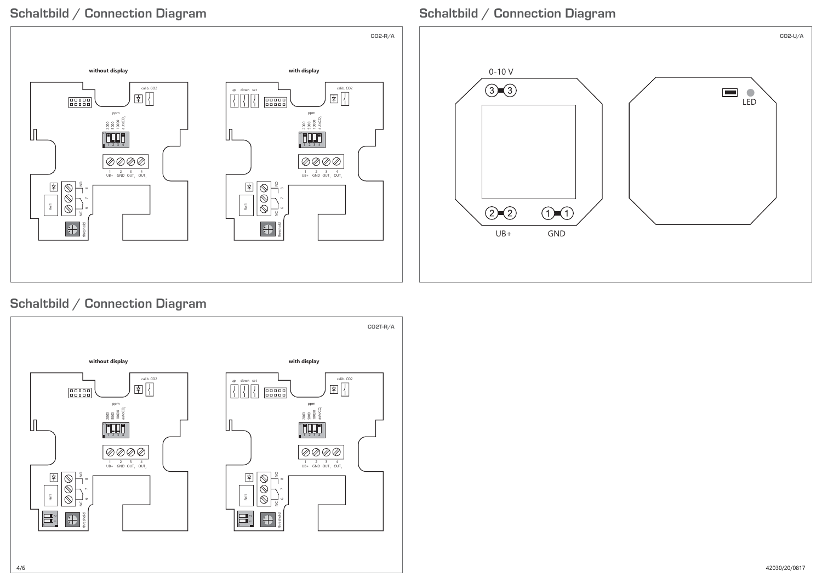# **Schaltbild / Connection Diagram**



# **Schaltbild / Connection Diagram**



# **Schaltbild / Connection Diagram**

4/6

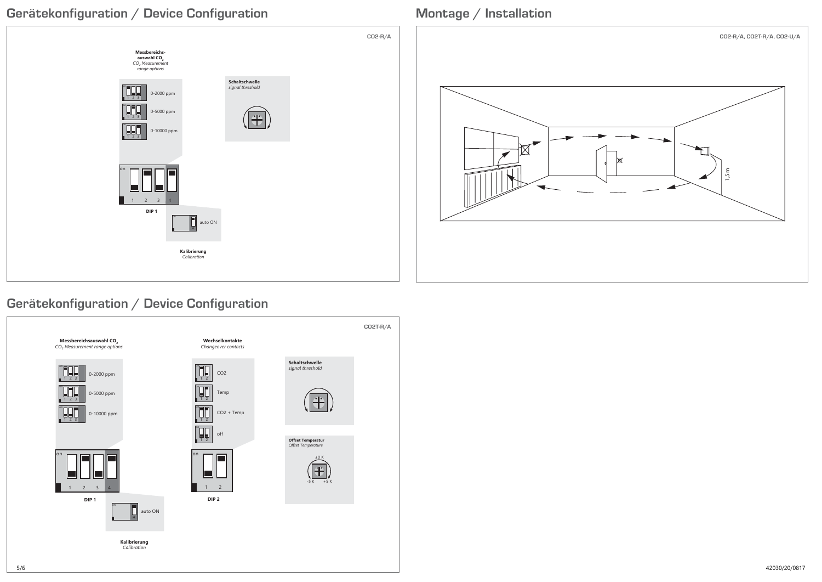



# **Gerätekonfiguration / Device Configuration**